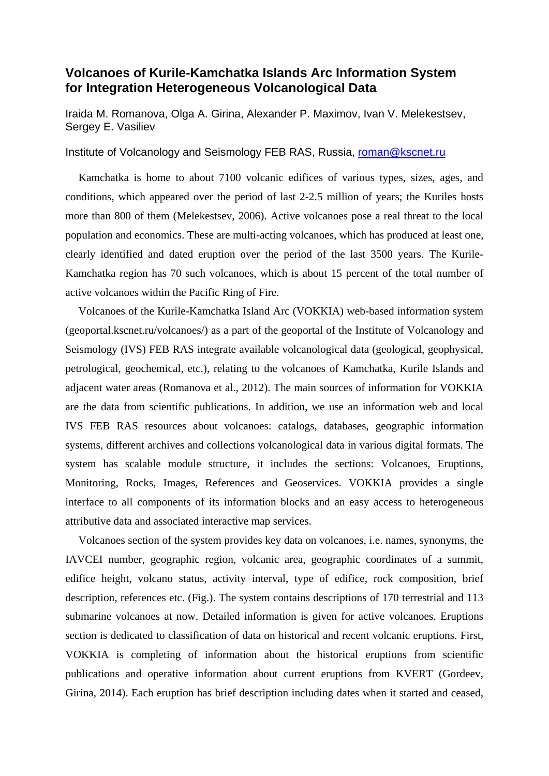## **Volcanoes of Kurile-Kamchatka Islands Arc Information System for Integration Heterogeneous Volcanological Data**

Iraida M. Romanova, Olga A. Girina, Alexander P. Maximov, Ivan V. Melekestsev, Sergey E. Vasiliev

## Institute of Volcanology and Seismology FEB RAS, Russia, roman@kscnet.ru

Kamchatka is home to about 7100 volcanic edifices of various types, sizes, ages, and conditions, which appeared over the period of last 2-2.5 million of years; the Kuriles hosts more than 800 of them (Melekestsev, 2006). Active volcanoes pose a real threat to the local population and economics. These are multi-acting volcanoes, which has produced at least one, clearly identified and dated eruption over the period of the last 3500 years. The Kurile-Kamchatka region has 70 such volcanoes, which is about 15 percent of the total number of active volcanoes within the Pacific Ring of Fire.

Volcanoes of the Kurile-Kamchatka Island Arc (VOKKIA) web-based information system (geoportal.kscnet.ru/volcanoes/) as a part of the geoportal of the Institute of Volcanology and Seismology (IVS) FEB RAS integrate available volcanological data (geological, geophysical, petrological, geochemical, etc.), relating to the volcanoes of Kamchatka, Kurile Islands and adjacent water areas (Romanova et al., 2012). The main sources of information for VOKKIA are the data from scientific publications. In addition, we use an information web and local IVS FEB RAS resources about volcanoes: catalogs, databases, geographic information systems, different archives and collections volcanological data in various digital formats. The system has scalable module structure, it includes the sections: Volcanoes, Eruptions, Monitoring, Rocks, Images, References and Geoservices. VOKKIA provides a single interface to all components of its information blocks and an easy access to heterogeneous attributive data and associated interactive map services.

Volcanoes section of the system provides key data on volcanoes, i.e. names, synonyms, the IAVCEI number, geographic region, volcanic area, geographic coordinates of a summit, edifice height, volcano status, activity interval, type of edifice, rock composition, brief description, references etc. (Fig.). The system contains descriptions of 170 terrestrial and 113 submarine volcanoes at now. Detailed information is given for active volcanoes. Eruptions section is dedicated to classification of data on historical and recent volcanic eruptions. First, VOKKIA is completing of information about the historical eruptions from scientific publications and operative information about current eruptions from KVERT (Gordeev, Girina, 2014). Each eruption has brief description including dates when it started and ceased,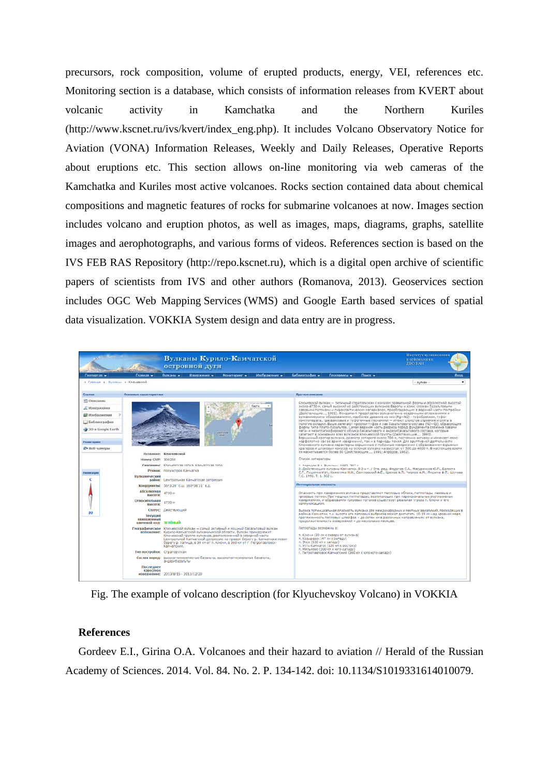precursors, rock composition, volume of erupted products, energy, VEI, references etc. Monitoring section is a database, which consists of information releases from KVERT about volcanic activity in Kamchatka and the Northern Kuriles (http://www.kscnet.ru/ivs/kvert/index\_eng.php). It includes Volcano Observatory Notice for Aviation (VONA) Information Releases, Weekly and Daily Releases, Operative Reports about eruptions etc. This section allows on-line monitoring via web cameras of the Kamchatka and Kuriles most active volcanoes. Rocks section contained data about chemical compositions and magnetic features of rocks for submarine volcanoes at now. Images section includes volcano and eruption photos, as well as images, maps, diagrams, graphs, satellite images and aerophotographs, and various forms of videos. References section is based on the IVS FEB RAS Repository (http://repo.kscnet.ru), which is a digital open archive of scientific papers of scientists from IVS and other authors (Romanova, 2013). Geoservices section includes OGC Web Mapping Services (WMS) and Google Earth based services of spatial data visualization. VOKKIA System design and data entry are in progress.



Fig. The example of volcano description (for Klyuchevskoy Volcano) in VOKKIA

## **References**

Gordeev E.I., Girina O.A. Volcanoes and their hazard to aviation // Herald of the Russian Academy of Sciences. 2014. Vol. 84. No. 2. P. 134-142. doi: 10.1134/S1019331614010079.